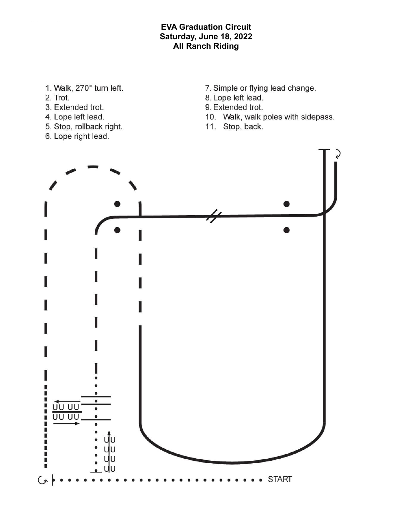## **EVA Graduation Circuit** Saturday, June 18, 2022 **All Ranch Riding**

- 1. Walk, 270° turn left.
- 2. Trot.
- 3. Extended trot.
- 4. Lope left lead.
- 5. Stop, rollback right.
- 6. Lope right lead.
- 7. Simple or flying lead change.
- 8. Lope left lead.
- 9. Extended trot.
- 10. Walk, walk poles with sidepass.
- 11. Stop, back.

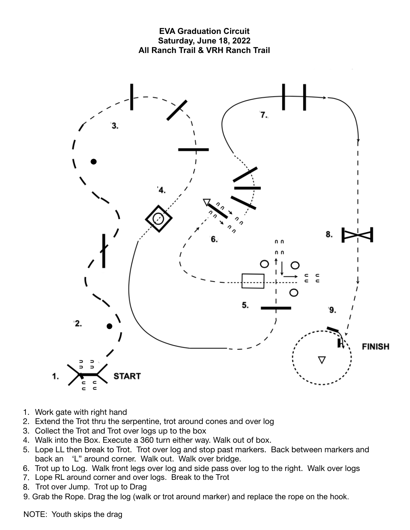

- 1. Work gate with right hand
- 2. Extend the Trot thru the serpentine, trot around cones and over log
- 3. Collect the Trot and Trot over logs up to the box
- 4. Walk into the Box. Execute a 360 turn either way. Walk out of box.
- 5. Lope LL then break to Trot. Trot over log and stop past markers. Back between markers and back an 'L" around corner. Walk out. Walk over bridge.
- 6. Trot up to Log. Walk front legs over log and side pass over log to the right. Walk over logs
- 7. Lope RL around corner and over logs. Break to the Trot
- 8. Grot over Jump. Trot up to Drag the rope on the rope on the rope on the hook.
- 9. Grab the Rope. Drag the log (walk or trot around marker) and replace the rope on the hook.

NOTE: Youth skips the drag